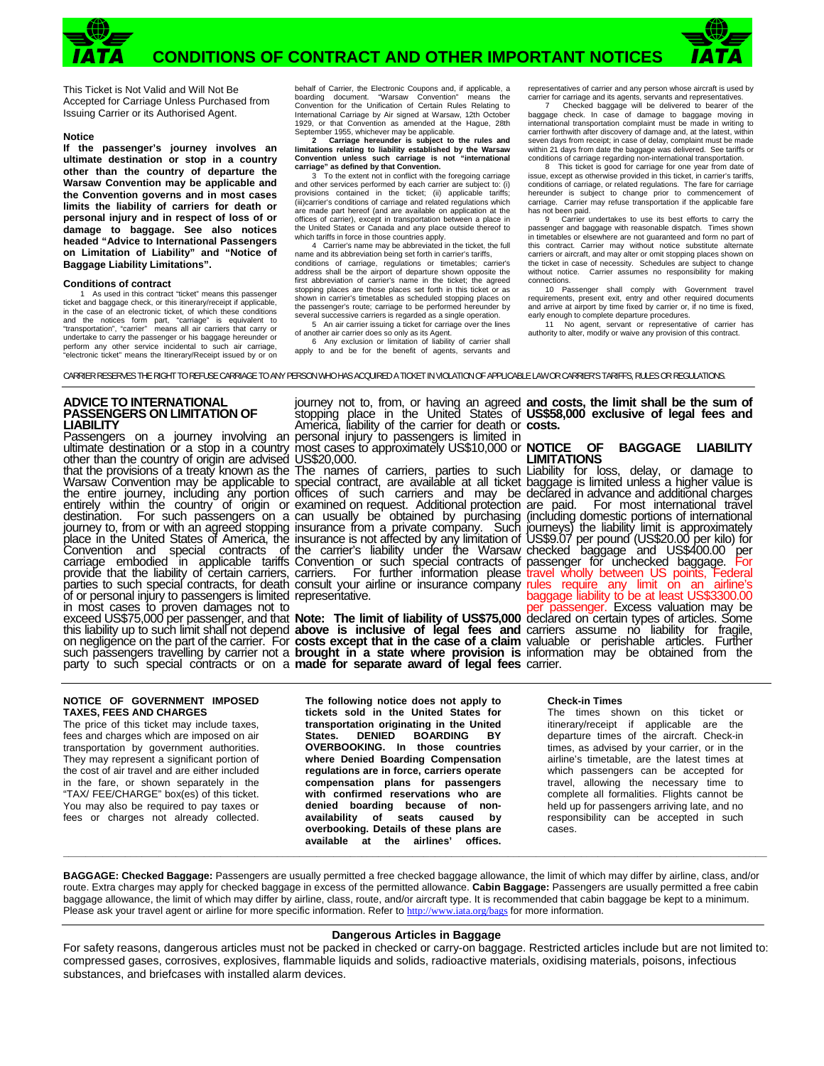



This Ticket is Not Valid and Will Not Be Accepted for Carriage Unless Purchased from Issuing Carrier or its Authorised Agent.

#### **Notice**

**If the passenger's journey involves an ultimate destination or stop in a country other than the country of departure the Warsaw Convention may be applicable and the Convention governs and in most cases limits the liability of carriers for death or personal injury and in respect of loss of or damage to baggage. See also notices headed "Advice to International Passengers on Limitation of Liability" and "Notice of Baggage Liability Limitations".** 

#### **Conditions of contract**

 1 As used in this contract "ticket" means this passenger ticket and baggage check, or this itinerary/receipt if applicable, in the case of an electronic ticket, of which these conditions<br>and the notices form part, "carriage" is equivalent to<br>"transportation", "carrier" means all air carriers that carry or<br>undertake to carry the passenger or his perform any other service incidental to such air carriage, "electronic ticket" means the Itinerary/Receipt issued by or on

behalf of Carrier, the Electronic Coupons and, if applicable, a boarding document. "Warsaw Convention" means the Convention for the Unification of Certain Rules Relating to International Carriage by Air signed at Warsaw, 12th October 1929, or that Convention as amended at the Hague, 28th September 1955, whichever may be applicable.

**2 Carriage hereunder is subject to the rules and limitations relating to liability established by the Warsaw Convention unless such carriage is not "international carriage" as defined by that Convention.**

 3 To the extent not in conflict with the foregoing carriage and other services performed by each carrier are subject to: (i) provisions contained in the ticket: (ii) applicable tariffs; (iii)carrier's conditions of carriage and related regulations which are made part hereof (and are available on application at the offices of carrier), except in transportation between a place in the United States or Canada and any place outside thereof to

which tariffs in force in those countries apply.<br>4 Carrier's name may be abbreviated in the ticket, the full name and its abbreviation being set forth in carrier's tariffs, conditions of carriage, regulations or timetables; carrier's address shall be the airport of departure shown opposite the first abbreviation of carrier's name in the ticket; the agreed stopping places are those places set forth in this ticket or as shown in carrier's timetables as scheduled stopping places on the passenger's route; carriage to be performed hereunder by several successive carriers is regarded as a single operation. 5 An air carrier issuing a ticket for carriage over the lines

of another air carrier does so only as its Agent. 6 Any exclusion or limitation of liability of carrier shall apply to and be for the benefit of agents, servants and

representatives of carrier and any person whose aircraft is used by carrier for carriage and its agents, servants and representatives.

 7 Checked baggage will be delivered to bearer of the baggage check. In case of damage to baggage moving in international transportation complaint must be made in writing to carrier forthwith after discovery of damage and, at the latest, within seven days from receipt; in case of delay, complaint must be made within 21 days from date the baggage was delivered. See tariffs or conditions of carriage regarding non-international transportation. 8 This ticket is good for carriage for one year from date of

issue, except as otherwise provided in this ticket, in carrier's tariffs, conditions of carriage, or related regulations. The fare for carriage hereunder is subject to change prior to commencement of carriage. Carrier may refuse transportation if the applicable fare has not been paid.

9 Carrier undertakes to use its best efforts to carry the passenger and baggage with reasonable dispatch. Times shown<br>in timetables or elsewhere are not guaranteed and form no part of<br>this contract. Carrier may without notice substitute alternate carriers or aircraft, and may alter or omit stopping places shown on the ticket in case of necessity. Schedules are subject to change without notice. Carrier assumes no responsibility for making connections.

 10 Passenger shall comply with Government travel requirements, present exit, entry and other required documents and arrive at airport by time fixed by carrier or, if no time is fixed, early enough to complete departure procedures.

 11 No agent, servant or representative of carrier has authority to alter, modify or waive any provision of this contract.

CARRIER RESERVES THE RIGHT TO REFUSE CARRIAGE TO ANY PERSON WHO HAS ACQUIRED A TICKET IN VIOLATION OF APPLICABLE LAW OR CARRIER'S TARIFFS, RULES OR REGULATIONS.

## **ADVICE TO INTERNATIONAL PASSENGERS ON LIMITATION OF LIABILITY**

Passengers on a journey involving an ultimate destination or a stop in a country other than the country of origin are advised that the provisions of a treaty known as the The names of carriers, parties to such Liability for loss, delay, or damage to Warsaw Convention may be applicable to special contract, are available at all ticket baggage is limited unless a higher value is the entire journey, inclúding any portion entirely within the country of origin or destination. For such passengers on a journey to, from or with an agreed stopping place in the United States of America, the Convention and special contracts of carriage embodied in applicable tariffs provide that the liability of certain carriers, parties to such special contracts, for death consult your airline or insurance company rules require any limit on an airline's of or personal injury to passengers is limited representative. in most cases to proven damages not to exceed US\$75,000 per passenger, and that this liability up to such limit shall not depend

journey not to, from, or having an agreed stopping place in the United States of America, liability of the carrier for death or personal injury to passengers is limited in most cases to approximately US\$10,000 or **NOTICE** OF US\$20,000.

offices of such carriers and may be examined on request. Additional protection can usually be obtained by purchasing insurance from a private company. Such insurance is not affected by any limitation of the carrier's liability under the Warsaw Convention or such special contracts of carriers. For further information please

on negligence on the part of the carrier. For **costs except that in the case of a claim**  valuable or perishable articles. Further such passengers travelling by carrier not a **brought in a state where provision is** information may be obtained from the party to such special contracts or on a **made for separate award of legal fees**  carrier. **Note: The limit of liability of US\$75,000 above is inclusive of legal fees and** 

**and costs, the limit shall be the sum of US\$58,000 exclusive of legal fees and costs.** 

### **NOTICE OF BAGGAGE LIABILITY LIMITATIONS**

declared in advance and additional charges are paid. For most international travel (including domestic portions of international journeys) the liability limit is approximately US\$9.07 per pound (US\$20.00 per kilo) for checked baggage and US\$400.00 per passenger for unchecked baggage. For travel wholly between US points, Federal baggage liability to be at least US\$3300.00<br>per passenger. Excess valuation may be per passenger. Excess valuation may be<br>declared on certain types of articles. Some carriers assume no liability for fragile,

#### **NOTICE OF GOVERNMENT IMPOSED TAXES, FEES AND CHARGES**

The price of this ticket may include taxes, fees and charges which are imposed on air transportation by government authorities. They may represent a significant portion of the cost of air travel and are either included in the fare, or shown separately in the "TAX/ FEE/CHARGE" box(es) of this ticket. You may also be required to pay taxes or fees or charges not already collected.

**The following notice does not apply to tickets sold in the United States for transportation originating in the United States. DENIED BOARDING BY OVERBOOKING. In those countries where Denied Boarding Compensation regulations are in force, carriers operate compensation plans for passengers with confirmed reservations who are denied boarding because of nonavailability of seats caused by overbooking. Details of these plans are available at the airlines' offices.**

### **Check-in Times**

The times shown on this ticket or itinerary/receipt if applicable are the departure times of the aircraft. Check-in times, as advised by your carrier, or in the airline's timetable, are the latest times at which passengers can be accepted for travel, allowing the necessary time to complete all formalities. Flights cannot be held up for passengers arriving late, and no responsibility can be accepted in such cases.

**BAGGAGE: Checked Baggage:** Passengers are usually permitted a free checked baggage allowance, the limit of which may differ by airline, class, and/or route. Extra charges may apply for checked baggage in excess of the permitted allowance. **Cabin Baggage:** Passengers are usually permitted a free cabin baggage allowance, the limit of which may differ by airline, class, route, and/or aircraft type. It is recommended that cabin baggage be kept to a minimum. Please ask your travel agent or airline for more specific information. Refer to http://www.iata.org/bags for more information.

**\_\_\_\_\_\_\_\_\_\_\_\_\_\_\_\_\_\_\_\_\_\_\_\_\_\_\_\_\_\_\_\_\_\_\_\_\_\_\_\_\_\_\_\_\_\_\_\_\_\_\_\_\_\_\_\_\_\_\_\_\_\_\_\_\_\_\_\_\_\_\_\_\_\_\_\_\_\_\_\_\_\_\_\_\_\_\_\_\_\_\_\_\_\_\_\_\_\_\_\_\_\_\_\_\_\_\_\_\_\_\_\_\_\_\_\_\_\_\_\_\_\_\_\_\_** 

## **Dangerous Articles in Baggage**

For safety reasons, dangerous articles must not be packed in checked or carry-on baggage. Restricted articles include but are not limited to: compressed gases, corrosives, explosives, flammable liquids and solids, radioactive materials, oxidising materials, poisons, infectious substances, and briefcases with installed alarm devices.